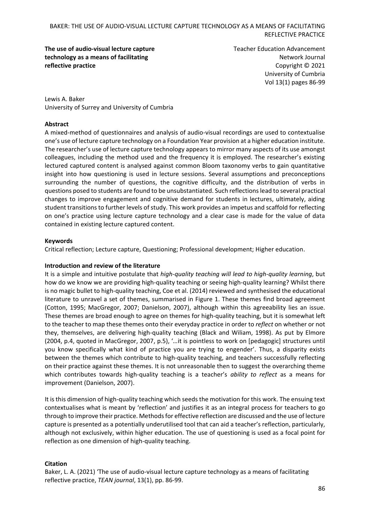**The use of audio-visual lecture capture technology as a means of facilitating reflective practice**

Teacher Education Advancement Network Journal Copyright © 2021 University of Cumbria Vol 13(1) pages 86-99

Lewis A. Baker University of Surrey and University of Cumbria

#### **Abstract**

A mixed-method of questionnaires and analysis of audio-visual recordings are used to contextualise one's use of lecture capture technology on a Foundation Year provision at a higher education institute. The researcher's use of lecture capture technology appears to mirror many aspects of its use amongst colleagues, including the method used and the frequency it is employed. The researcher's existing lectured captured content is analysed against common Bloom taxonomy verbs to gain quantitative insight into how questioning is used in lecture sessions. Several assumptions and preconceptions surrounding the number of questions, the cognitive difficulty, and the distribution of verbs in questions posed to students are found to be unsubstantiated. Such reflections lead to several practical changes to improve engagement and cognitive demand for students in lectures, ultimately, aiding student transitions to further levels of study. This work provides an impetus and scaffold for reflecting on one's practice using lecture capture technology and a clear case is made for the value of data contained in existing lecture captured content.

#### **Keywords**

Critical reflection; Lecture capture, Questioning; Professional development; Higher education.

#### **Introduction and review of the literature**

It is a simple and intuitive postulate that *high-quality teaching will lead to high-quality learning*, but how do we know we are providing high-quality teaching or seeing high-quality learning? Whilst there is no magic bullet to high-quality teaching, Coe et al. (2014) reviewed and synthesised the educational literature to unravel a set of themes, summarised in Figure 1. These themes find broad agreement (Cotton, 1995; MacGregor, 2007; Danielson, 2007), although within this agreeability lies an issue. These themes are broad enough to agree on themes for high-quality teaching, but it is somewhat left to the teacher to map these themes onto their everyday practice in order to *reflect* on whether or not they, themselves, are delivering high-quality teaching (Black and Wiliam, 1998). As put by Elmore (2004, p.4, quoted in MacGregor, 2007, p.5), '*…*it is pointless to work on [pedagogic] structures until you know specifically what kind of practice you are trying to engender'. Thus, a disparity exists between the themes which contribute to high-quality teaching, and teachers successfully reflecting on their practice against these themes. It is not unreasonable then to suggest the overarching theme which contributes towards high-quality teaching is a teacher's *ability to reflect* as a means for improvement (Danielson, 2007).

It is this dimension of high-quality teaching which seeds the motivation for this work. The ensuing text contextualises what is meant by 'reflection' and justifies it as an integral process for teachers to go through to improve their practice. Methods for effective reflection are discussed and the use of lecture capture is presented as a potentially underutilised tool that can aid a teacher's reflection, particularly, although not exclusively, within higher education. The use of questioning is used as a focal point for reflection as one dimension of high-quality teaching.

#### **Citation**

Baker, L. A. (2021) 'The use of audio-visual lecture capture technology as a means of facilitating reflective practice, *TEAN journal*, 13(1), pp. 86-99.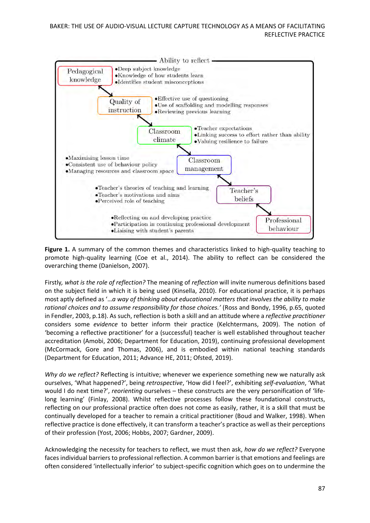

**Figure 1.** A summary of the common themes and characteristics linked to high-quality teaching to promote high-quality learning (Coe et al., 2014). The ability to reflect can be considered the overarching theme (Danielson, 2007).

Firstly*, what is the role of reflection?* The meaning of *reflection* will invite numerous definitions based on the subject field in which it is being used (Kinsella, 2010). For educational practice, it is perhaps most aptly defined as '…*a way of thinking about educational matters that involves the ability to make rational choices and to assume responsibility for those choices.'* (Ross and Bondy, 1996, p.65, quoted in Fendler, 2003, p.18). As such, reflection is both a skill and an attitude where a *reflective practitioner* considers some *evidence* to better inform their practice (Kelchtermans, 2009). The notion of 'becoming a reflective practitioner' for a (successful) teacher is well established throughout teacher accreditation (Amobi, 2006; Department for Education, 2019), continuing professional development (McCormack, Gore and Thomas, 2006), and is embodied within national teaching standards (Department for Education, 2011; Advance HE, 2011; Ofsted, 2019).

*Why do we reflect?* Reflecting is intuitive; whenever we experience something new we naturally ask ourselves, 'What happened?', being *retrospective*, 'How did I feel?', exhibiting *self-evaluation*, 'What would I do next time?', *reorienting* ourselves – these constructs are the very personification of 'lifelong learning' (Finlay, 2008). Whilst reflective processes follow these foundational constructs, reflecting on our professional practice often does not come as easily, rather, it is a skill that must be continually developed for a teacher to remain a critical practitioner (Boud and Walker, 1998). When reflective practice is done effectively, it can transform a teacher's practice as well as their perceptions of their profession (Yost, 2006; Hobbs, 2007; Gardner, 2009).

Acknowledging the necessity for teachers to reflect, we must then ask, *how do we reflect?* Everyone faces individual barriers to professional reflection. A common barrier is that emotions and feelings are often considered 'intellectually inferior' to subject-specific cognition which goes on to undermine the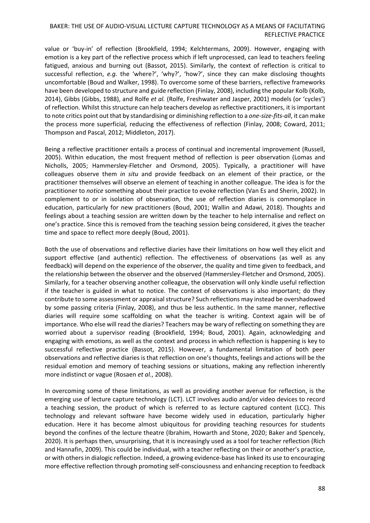value or 'buy-in' of reflection (Brookfield, 1994; Kelchtermans, 2009). However, engaging with emotion is a key part of the reflective process which if left unprocessed, can lead to teachers feeling fatigued, anxious and burning out (Bassot, 2015). Similarly, the context of reflection is critical to successful reflection, *e.g.* the 'where?', 'why?', 'how?', since they can make disclosing thoughts uncomfortable (Boud and Walker, 1998). To overcome some of these barriers, reflective frameworks have been developed to structure and guide reflection (Finlay, 2008), including the popular Kolb (Kolb, 2014), Gibbs (Gibbs, 1988), and Rolfe *et al.* (Rolfe, Freshwater and Jasper, 2001) models (or 'cycles') of reflection. Whilst this structure can help teachers develop as reflective practitioners, it is important to note critics point out that by standardising or diminishing reflection to a *one-size-fits-all*, it can make the process more superficial*,* reducing the effectiveness of reflection (Finlay, 2008; Coward, 2011; Thompson and Pascal, 2012; Middleton, 2017).

Being a reflective practitioner entails a process of continual and incremental improvement (Russell, 2005). Within education, the most frequent method of reflection is peer observation (Lomas and Nicholls, 2005; Hammersley‐Fletcher and Orsmond, 2005). Typically, a practitioner will have colleagues observe them *in situ* and provide feedback on an element of their practice, or the practitioner themselves will observe an element of teaching in another colleague. The idea is for the practitioner to *notice* something about their practice to evoke reflection (Van Es and Sherin, 2002). In complement to or in isolation of observation, the use of reflection diaries is commonplace in education, particularly for new practitioners (Boud, 2001; Wallin and Adawi, 2018). Thoughts and feelings about a teaching session are written down by the teacher to help internalise and reflect on one's practice. Since this is removed from the teaching session being considered, it gives the teacher time and space to reflect more deeply (Boud, 2001).

Both the use of observations and reflective diaries have their limitations on how well they elicit and support effective (and authentic) reflection. The effectiveness of observations (as well as any feedback) will depend on the experience of the observer, the quality and time given to feedback, and the relationship between the observer and the observed (Hammersley‐Fletcher and Orsmond, 2005). Similarly, for a teacher observing another colleague, the observation will only kindle useful reflection if the teacher is guided in what to notice. The context of observations is also important; do they contribute to some assessment or appraisal structure? Such reflections may instead be overshadowed by some passing criteria (Finlay, 2008), and thus be less authentic. In the same manner, reflective diaries will require some scaffolding on what the teacher is writing. Context again will be of importance. Who else will read the diaries? Teachers may be wary of reflecting on something they are worried about a supervisor reading (Brookfield, 1994; Boud, 2001). Again, acknowledging and engaging with emotions, as well as the context and process in which reflection is happening is key to successful reflective practice (Bassot, 2015). However, a fundamental limitation of both peer observations and reflective diaries is that reflection on one's thoughts, feelings and actions will be the residual emotion and memory of teaching sessions or situations, making any reflection inherently more indistinct or vague (Rosaen *et al.*, 2008).

In overcoming some of these limitations, as well as providing another avenue for reflection, is the emerging use of lecture capture technology (LCT). LCT involves audio and/or video devices to record a teaching session, the product of which is referred to as lecture captured content (LCC). This technology and relevant software have become widely used in education, particularly higher education. Here it has become almost ubiquitous for providing teaching resources for students beyond the confines of the lecture theatre (Ibrahim, Howarth and Stone, 2020; Baker and Spencely, 2020). It is perhaps then, unsurprising, that it is increasingly used as a tool for teacher reflection (Rich and Hannafin, 2009). This could be individual, with a teacher reflecting on their or another's practice, or with others in dialogic reflection. Indeed, a growing evidence-base has linked its use to encouraging more effective reflection through promoting self-consciousness and enhancing reception to feedback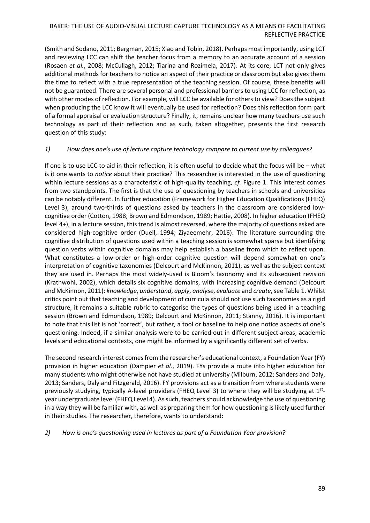(Smith and Sodano, 2011; Bergman, 2015; Xiao and Tobin, 2018). Perhaps most importantly, using LCT and reviewing LCC can shift the teacher focus from a memory to an accurate account of a session (Rosaen *et al.*, 2008; McCullagh, 2012; Tiarina and Rozimela, 2017). At its core, LCT not only gives additional methods for teachers to notice an aspect of their practice or classroom but also gives them the time to reflect with a true representation of the teaching session. Of course, these benefits will not be guaranteed. There are several personal and professional barriers to using LCC for reflection, as with other modes of reflection. For example, will LCC be available for others to view? Does the subject when producing the LCC know it will eventually be used for reflection? Does this reflection form part of a formal appraisal or evaluation structure? Finally, it, remains unclear how many teachers use such technology as part of their reflection and as such, taken altogether, presents the first research question of this study:

## *1) How does one's use of lecture capture technology compare to current use by colleagues?*

If one is to use LCC to aid in their reflection, it is often useful to decide what the focus will be – what is it one wants to *notice* about their practice? This researcher is interested in the use of questioning within lecture sessions as a characteristic of high-quality teaching, *cf.* Figure 1. This interest comes from two standpoints. The first is that the use of questioning by teachers in schools and universities can be notably different. In further education (Framework for Higher Education Qualifications (FHEQ) Level 3), around two-thirds of questions asked by teachers in the classroom are considered lowcognitive order (Cotton, 1988; Brown and Edmondson, 1989; Hattie, 2008). In higher education (FHEQ level 4+), in a lecture session, this trend is almost reversed, where the majority of questions asked are considered high-cognitive order (Duell, 1994; Ziyaeemehr, 2016). The literature surrounding the cognitive distribution of questions used within a teaching session is somewhat sparse but identifying question verbs within cognitive domains may help establish a baseline from which to reflect upon. What constitutes a low-order or high-order cognitive question will depend somewhat on one's interpretation of cognitive taxonomies (Delcourt and McKinnon, 2011), as well as the subject context they are used in. Perhaps the most widely-used is Bloom's taxonomy and its subsequent revision (Krathwohl, 2002), which details six cognitive domains, with increasing cognitive demand (Delcourt and McKinnon, 2011): *knowledge*, *understand*, *apply*, *analyse*, *evaluate* and *create*,see Table 1. Whilst critics point out that teaching and development of curricula should not use such taxonomies as a rigid structure, it remains a suitable rubric to categorise the types of questions being used in a teaching session (Brown and Edmondson, 1989; Delcourt and McKinnon, 2011; Stanny, 2016). It is important to note that this list is not 'correct', but rather, a tool or baseline to help one notice aspects of one's questioning. Indeed, if a similar analysis were to be carried out in different subject areas, academic levels and educational contexts, one might be informed by a significantly different set of verbs.

The second research interest comes from the researcher's educational context, a Foundation Year (FY) provision in higher education (Dampier *et al.*, 2019). FYs provide a route into higher education for many students who might otherwise not have studied at university (Milburn, 2012; Sanders and Daly, 2013; Sanders, Daly and Fitzgerald, 2016). FY provisions act as a transition from where students were previously studying, typically A-level providers (FHEQ Level 3) to where they will be studying at 1styear undergraduate level (FHEQ Level 4). Assuch, teachers should acknowledge the use of questioning in a way they will be familiar with, as well as preparing them for how questioning is likely used further in their studies. The researcher, therefore, wants to understand:

# *2) How is one's questioning used in lectures as part of a Foundation Year provision?*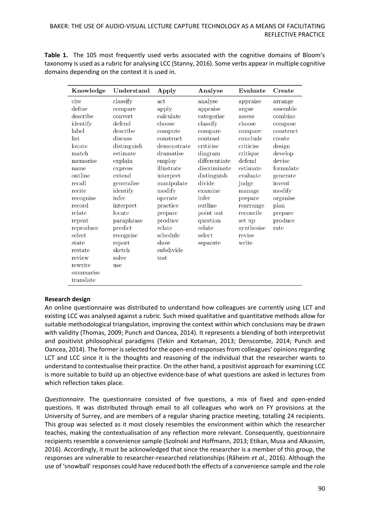|  |                                                 |  | Table 1. The 105 most frequently used verbs associated with the cognitive domains of Bloom's           |  |  |  |
|--|-------------------------------------------------|--|--------------------------------------------------------------------------------------------------------|--|--|--|
|  |                                                 |  | taxonomy is used as a rubric for analysing LCC (Stanny, 2016). Some verbs appear in multiple cognitive |  |  |  |
|  | domains depending on the context it is used in. |  |                                                                                                        |  |  |  |

| Knowledge | Understand  | Apply       | Analyse       | Evaluate   | Create    |
|-----------|-------------|-------------|---------------|------------|-----------|
| cite      | classify    | act         | analyse       | appraise   | arrange   |
| define    | compare     | apply       | appraise      | argue      | assemble  |
| describe  | convert     | calculate   | categorise    | assess     | combine   |
| identify  | defend      | choose      | classify      | choose     | compose   |
| label     | describe    | compute     | compare       | compare    | construct |
| list      | discuss     | construct   | contrast      | conclude   | create    |
| locate    | distinguish | demonstrate | criticise     | criticise  | design    |
| match     | estimate    | dramatise   | diagram       | critique   | develop   |
| memorise  | explain     | employ      | differentiate | defend     | devise    |
| name      | express     | illustrate  | discriminate  | estimate   | formulate |
| outline   | extend      | interpret   | distinguish   | evaluate   | generate  |
| recall    | generalise  | manipulate  | divide        | judge      | invent    |
| recite    | identify    | modify      | examine       | manage     | modify    |
| recognise | infer       | operate     | infer         | prepare    | organise  |
| record    | interpret   | practice    | outline       | rearrange  | plan      |
| relate    | locate      | prepare     | point out     | reconcile  | prepare   |
| repeat    | paraphrase  | produce     | question      | set up     | produce   |
| reproduce | predict     | relate      | relate        | synthesise | rate      |
| select    | recognise   | schedule    | select        | revise     |           |
| state     | report      | show        | separate      | write      |           |
| restate   | sketch      | subdivide   |               |            |           |
| review    | solve       | test        |               |            |           |
| rewrite   | use         |             |               |            |           |
| summarise |             |             |               |            |           |
| translate |             |             |               |            |           |

# **Research design**

An online questionnaire was distributed to understand how colleagues are currently using LCT and existing LCC was analysed against a rubric. Such mixed qualitative and quantitative methods allow for suitable methodological triangulation, improving the context within which conclusions may be drawn with validity (Thomas, 2009; Punch and Oancea, 2014). It represents a blending of both interpretivist and positivist philosophical paradigms (Tekin and Kotaman, 2013; Denscombe, 2014; Punch and Oancea, 2014). The former is selected for the open-end responsesfrom colleagues' opinionsregarding LCT and LCC since it is the thoughts and reasoning of the individual that the researcher wants to understand to contextualise their practice. On the other hand, a positivist approach for examining LCC is more suitable to build up an objective evidence-base of what questions are asked in lectures from which reflection takes place.

*Questionnaire*. The questionnaire consisted of five questions, a mix of fixed and open-ended questions. It was distributed through email to all colleagues who work on FY provisions at the University of Surrey, and are members of a regular sharing practice meeting, totalling 24 recipients. This group was selected as it most closely resembles the environment within which the researcher teaches, making the contextualisation of any reflection more relevant. Consequently, questionnaire recipients resemble a convenience sample (Szolnoki and Hoffmann, 2013; Etikan, Musa and Alkassim, 2016). Accordingly, it must be acknowledged that since the researcher is a member of this group, the responses are vulnerable to researcher-researched relationships (Råheim *et al.*, 2016). Although the use of 'snowball' responses could have reduced both the effects of a convenience sample and the role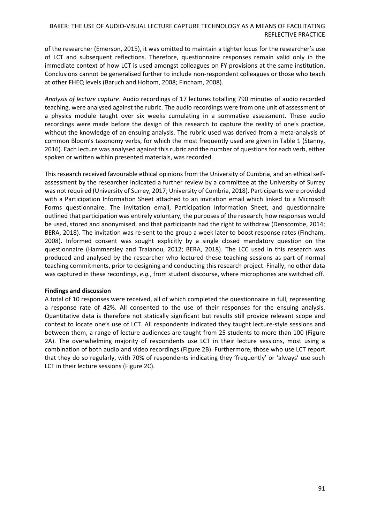of the researcher (Emerson, 2015), it was omitted to maintain a tighter locus for the researcher's use of LCT and subsequent reflections. Therefore, questionnaire responses remain valid only in the immediate context of how LCT is used amongst colleagues on FY provisions at the same institution. Conclusions cannot be generalised further to include non-respondent colleagues or those who teach at other FHEQ levels (Baruch and Holtom, 2008; Fincham, 2008).

*Analysis of lecture capture*. Audio recordings of 17 lectures totalling 790 minutes of audio recorded teaching, were analysed against the rubric. The audio recordings were from one unit of assessment of a physics module taught over six weeks cumulating in a summative assessment. These audio recordings were made before the design of this research to capture the reality of one's practice, without the knowledge of an ensuing analysis. The rubric used was derived from a meta-analysis of common Bloom's taxonomy verbs, for which the most frequently used are given in Table 1 (Stanny, 2016). Each lecture was analysed against this rubric and the number of questions for each verb, either spoken or written within presented materials, was recorded.

This research received favourable ethical opinions from the University of Cumbria, and an ethical selfassessment by the researcher indicated a further review by a committee at the University of Surrey was not required (University of Surrey, 2017; University of Cumbria, 2018). Participants were provided with a Participation Information Sheet attached to an invitation email which linked to a Microsoft Forms questionnaire. The invitation email, Participation Information Sheet, and questionnaire outlined that participation was entirely voluntary, the purposes of the research, how responses would be used, stored and anonymised, and that participants had the right to withdraw (Denscombe, 2014; BERA, 2018). The invitation was re-sent to the group a week later to boost response rates (Fincham, 2008). Informed consent was sought explicitly by a single closed mandatory question on the questionnaire (Hammersley and Traianou, 2012; BERA, 2018). The LCC used in this research was produced and analysed by the researcher who lectured these teaching sessions as part of normal teaching commitments, prior to designing and conducting this research project. Finally, no other data was captured in these recordings, *e.g.*, from student discourse, where microphones are switched off.

#### **Findings and discussion**

A total of 10 responses were received, all of which completed the questionnaire in full, representing a response rate of 42%. All consented to the use of their responses for the ensuing analysis. Quantitative data is therefore not statically significant but results still provide relevant scope and context to locate one's use of LCT. All respondents indicated they taught lecture-style sessions and between them, a range of lecture audiences are taught from 25 students to more than 100 (Figure 2A). The overwhelming majority of respondents use LCT in their lecture sessions, most using a combination of both audio and video recordings (Figure 2B). Furthermore, those who use LCT report that they do so regularly, with 70% of respondents indicating they 'frequently' or 'always' use such LCT in their lecture sessions (Figure 2C).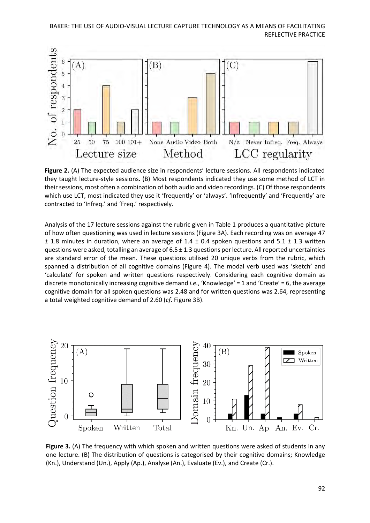

**Figure 2.** (A) The expected audience size in respondents' lecture sessions. All respondents indicated they taught lecture-style sessions. (B) Most respondents indicated they use some method of LCT in their sessions, most often a combination of both audio and video recordings. (C) Of those respondents which use LCT, most indicated they use it 'frequently' or 'always'. 'Infrequently' and 'Frequently' are contracted to 'Infreq.' and 'Freq.' respectively.

Analysis of the 17 lecture sessions against the rubric given in Table 1 produces a quantitative picture of how often questioning was used in lecture sessions (Figure 3A). Each recording was on average 47  $\pm$  1.8 minutes in duration, where an average of 1.4  $\pm$  0.4 spoken questions and 5.1  $\pm$  1.3 written questions were asked, totalling an average of 6.5 ± 1.3 questions per lecture. All reported uncertainties are standard error of the mean. These questions utilised 20 unique verbs from the rubric, which spanned a distribution of all cognitive domains (Figure 4). The modal verb used was 'sketch' and 'calculate' for spoken and written questions respectively. Considering each cognitive domain as discrete monotonically increasing cognitive demand *i.e.*, 'Knowledge' = 1 and 'Create' = 6, the average cognitive domain for all spoken questions was 2.48 and for written questions was 2.64, representing a total weighted cognitive demand of 2.60 (*cf*. Figure 3B).



**Figure 3.** (A) The frequency with which spoken and written questions were asked of students in any one lecture. (B) The distribution of questions is categorised by their cognitive domains; Knowledge (Kn.), Understand (Un.), Apply (Ap.), Analyse (An.), Evaluate (Ev.), and Create (Cr.).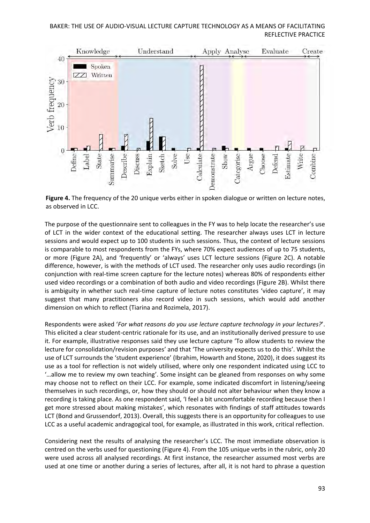

**Figure 4.** The frequency of the 20 unique verbs either in spoken dialogue or written on lecture notes, as observed in LCC.

The purpose of the questionnaire sent to colleagues in the FY was to help locate the researcher's use of LCT in the wider context of the educational setting. The researcher always uses LCT in lecture sessions and would expect up to 100 students in such sessions. Thus, the context of lecture sessions is comparable to most respondents from the FYs, where 70% expect audiences of up to 75 students, or more (Figure 2A), and 'frequently' or 'always' uses LCT lecture sessions (Figure 2C). A notable difference, however, is with the methods of LCT used. The researcher only uses audio recordings (in conjunction with real-time screen capture for the lecture notes) whereas 80% of respondents either used video recordings or a combination of both audio and video recordings (Figure 2B). Whilst there is ambiguity in whether such real-time capture of lecture notes constitutes 'video capture', it may suggest that many practitioners also record video in such sessions, which would add another dimension on which to reflect (Tiarina and Rozimela, 2017).

Respondents were asked '*For what reasons do you use lecture capture technology in your lectures?*'. This elicited a clear student-centric rationale for its use, and an institutionally derived pressure to use it. For example, illustrative responses said they use lecture capture 'To allow students to review the lecture for consolidation/revision purposes' and that 'The university expects us to do this'. Whilst the use of LCT surrounds the 'student experience' (Ibrahim, Howarth and Stone, 2020), it does suggest its use as a tool for reflection is not widely utilised, where only one respondent indicated using LCC to '…allow me to review my own teaching'. Some insight can be gleaned from responses on why some may choose not to reflect on their LCC. For example, some indicated discomfort in listening/seeing themselves in such recordings, or, how they should or should not alter behaviour when they know a recording is taking place. As one respondent said, 'I feel a bit uncomfortable recording because then I get more stressed about making mistakes', which resonates with findings of staff attitudes towards LCT (Bond and Grussendorf, 2013). Overall, this suggests there is an opportunity for colleagues to use LCC as a useful academic andragogical tool, for example, as illustrated in this work, critical reflection.

Considering next the results of analysing the researcher's LCC. The most immediate observation is centred on the verbs used for questioning (Figure 4). From the 105 unique verbs in the rubric, only 20 were used across all analysed recordings. At first instance, the researcher assumed most verbs are used at one time or another during a series of lectures, after all, it is not hard to phrase a question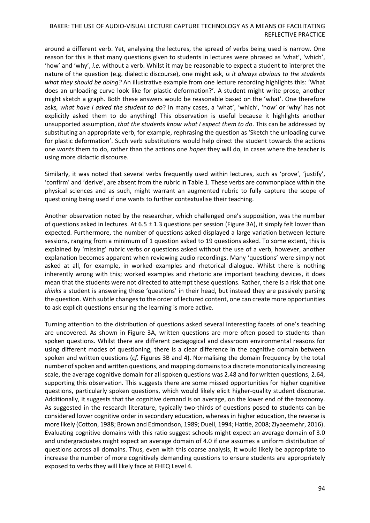around a different verb. Yet, analysing the lectures, the spread of verbs being used is narrow. One reason for this is that many questions given to students in lectures were phrased as 'what', 'which', 'how' and 'why', *i.e.* without a verb. Whilst it may be reasonable to expect a student to interpret the nature of the question (e.g. dialectic discourse), one might ask, *is it always obvious to the students what they should be doing?* An illustrative example from one lecture recording highlights this: 'What does an unloading curve look like for plastic deformation?'. A student might write prose, another might sketch a graph. Both these answers would be reasonable based on the 'what'. One therefore asks*, what have I asked the student to do*? In many cases, a 'what', 'which', 'how' or 'why' has not explicitly asked them to do anything! This observation is useful because it highlights another unsupported assumption, *that the students know what I expect them to do*. This can be addressed by substituting an appropriate verb, for example, rephrasing the question as 'Sketch the unloading curve for plastic deformation'. Such verb substitutions would help direct the student towards the actions one *wants* them to do, rather than the actions one *hopes* they will do, in cases where the teacher is using more didactic discourse.

Similarly, it was noted that several verbs frequently used within lectures, such as 'prove', 'justify', 'confirm' and 'derive', are absent from the rubric in Table 1. These verbs are commonplace within the physical sciences and as such, might warrant an augmented rubric to fully capture the scope of questioning being used if one wants to further contextualise their teaching.

Another observation noted by the researcher, which challenged one's supposition, was the number of questions asked in lectures. At  $6.5 \pm 1.3$  questions per session (Figure 3A), it simply felt lower than expected. Furthermore, the number of questions asked displayed a large variation between lecture sessions, ranging from a minimum of 1 question asked to 19 questions asked. To some extent, this is explained by 'missing' rubric verbs or questions asked without the use of a verb, however, another explanation becomes apparent when reviewing audio recordings. Many 'questions' were simply not asked at all, for example, in worked examples and rhetorical dialogue. Whilst there is nothing inherently wrong with this; worked examples and rhetoric are important teaching devices, it does mean that the students were not directed to attempt these questions. Rather, there is a risk that one *thinks* a student is answering these 'questions' in their head, but instead they are passively parsing the question. With subtle changes to the order of lectured content, one can create more opportunities to ask explicit questions ensuring the learning is more active.

Turning attention to the distribution of questions asked several interesting facets of one's teaching are uncovered. As shown in Figure 3A, written questions are more often posed to students than spoken questions. Whilst there are different pedagogical and classroom environmental reasons for using different modes of questioning, there is a clear difference in the cognitive domain between spoken and written questions (*cf.* Figures 3B and 4). Normalising the domain frequency by the total number of spoken and written questions, and mapping domains to a discrete monotonically increasing scale, the average cognitive domain for all spoken questions was 2.48 and for written questions, 2.64, supporting this observation. This suggests there are some missed opportunities for higher cognitive questions, particularly spoken questions, which would likely elicit higher-quality student discourse. Additionally, it suggests that the cognitive demand is on average, on the lower end of the taxonomy. As suggested in the research literature, typically two-thirds of questions posed to students can be considered lower cognitive order in secondary education, whereas in higher education, the reverse is more likely (Cotton, 1988; Brown and Edmondson, 1989; Duell, 1994; Hattie, 2008; Ziyaeemehr, 2016). Evaluating cognitive domains with this ratio suggest schools might expect an average domain of 3.0 and undergraduates might expect an average domain of 4.0 if one assumes a uniform distribution of questions across all domains. Thus, even with this coarse analysis, it would likely be appropriate to increase the number of more cognitively demanding questions to ensure students are appropriately exposed to verbs they will likely face at FHEQ Level 4.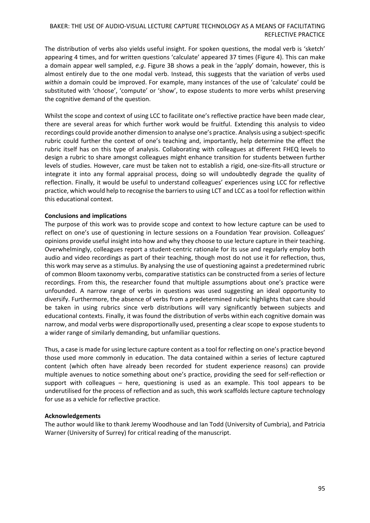The distribution of verbs also yields useful insight. For spoken questions, the modal verb is 'sketch' appearing 4 times, and for written questions 'calculate' appeared 37 times (Figure 4). This can make a domain appear well sampled, *e.g*. Figure 3B shows a peak in the 'apply' domain, however, this is almost entirely due to the one modal verb. Instead, this suggests that the variation of verbs used *within* a domain could be improved. For example, many instances of the use of 'calculate' could be substituted with 'choose', 'compute' or 'show', to expose students to more verbs whilst preserving the cognitive demand of the question.

Whilst the scope and context of using LCC to facilitate one's reflective practice have been made clear, there are several areas for which further work would be fruitful. Extending this analysis to video recordings could provide another dimension to analyse one's practice. Analysis using a subject-specific rubric could further the context of one's teaching and, importantly, help determine the effect the rubric itself has on this type of analysis. Collaborating with colleagues at different FHEQ levels to design a rubric to share amongst colleagues might enhance transition for students between further levels of studies. However, care must be taken not to establish a rigid, one-size-fits-all structure or integrate it into any formal appraisal process, doing so will undoubtedly degrade the quality of reflection. Finally, it would be useful to understand colleagues' experiences using LCC for reflective practice, which would help to recognise the barriers to using LCT and LCC as a tool for reflection within this educational context.

## **Conclusions and implications**

The purpose of this work was to provide scope and context to how lecture capture can be used to reflect on one's use of questioning in lecture sessions on a Foundation Year provision. Colleagues' opinions provide useful insight into how and why they choose to use lecture capture in their teaching. Overwhelmingly, colleagues report a student-centric rationale for its use and regularly employ both audio and video recordings as part of their teaching, though most do not use it for reflection, thus, this work may serve as a stimulus. By analysing the use of questioning against a predetermined rubric of common Bloom taxonomy verbs, comparative statistics can be constructed from a series of lecture recordings. From this, the researcher found that multiple assumptions about one's practice were unfounded. A narrow range of verbs in questions was used suggesting an ideal opportunity to diversify. Furthermore, the absence of verbs from a predetermined rubric highlights that care should be taken in using rubrics since verb distributions will vary significantly between subjects and educational contexts. Finally, it was found the distribution of verbs within each cognitive domain was narrow, and modal verbs were disproportionally used, presenting a clear scope to expose students to a wider range of similarly demanding, but unfamiliar questions.

Thus, a case is made for using lecture capture content as a tool for reflecting on one's practice beyond those used more commonly in education. The data contained within a series of lecture captured content (which often have already been recorded for student experience reasons) can provide multiple avenues to notice something about one's practice, providing the seed for self-reflection or support with colleagues – here, questioning is used as an example. This tool appears to be underutilised for the process of reflection and as such, this work scaffolds lecture capture technology for use as a vehicle for reflective practice.

#### **Acknowledgements**

The author would like to thank Jeremy Woodhouse and Ian Todd (University of Cumbria), and Patricia Warner (University of Surrey) for critical reading of the manuscript.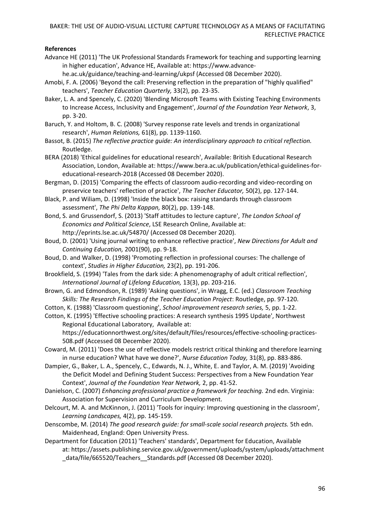# **References**

Advance HE (2011) 'The UK Professional Standards Framework for teaching and supporting learning in higher education', Advance HE, Available at: [https://www.advance-](https://www.advance-he.ac.uk/guidance/teaching-and-learning/ukpsf)

#### [he.ac.uk/guidance/teaching-and-learning/ukpsf](https://www.advance-he.ac.uk/guidance/teaching-and-learning/ukpsf) (Accessed 08 December 2020). Amobi, F. A. (2006) 'Beyond the call: Preserving reflection in the preparation of "highly qualified" teachers', *Teacher Education Quarterly,* 33(2), pp. 23-35.

- Baker, L. A. and Spencely, C. (2020) 'Blending Microsoft Teams with Existing Teaching Environments to Increase Access, Inclusivity and Engagement', *Journal of the Foundation Year Network*, 3, pp. 3-20.
- Baruch, Y. and Holtom, B. C. (2008) 'Survey response rate levels and trends in organizational research', *Human Relations,* 61(8), pp. 1139-1160.
- Bassot, B. (2015) *The reflective practice guide: An interdisciplinary approach to critical reflection.* Routledge.
- BERA (2018) 'Ethical guidelines for educational research', Available: British Educational Research Association, London, Available at: [https://www.bera.ac.uk/publication/ethical-guidelines-for](https://www.bera.ac.uk/publication/ethical-guidelines-for-educational-research-2018)[educational-research-2018](https://www.bera.ac.uk/publication/ethical-guidelines-for-educational-research-2018) (Accessed 08 December 2020).
- Bergman, D. (2015) 'Comparing the effects of classroom audio-recording and video-recording on preservice teachers' reflection of practice', *The Teacher Educator,* 50(2), pp. 127-144.
- Black, P. and Wiliam, D. (1998) 'Inside the black box: raising standards through classroom assessment', *The Phi Delta Kappan,* 80(2), pp. 139-148.
- Bond, S. and Grussendorf, S. (2013) 'Staff attitudes to lecture capture', *The London School of Economics and Political Science*, LSE Research Online, Available at: <http://eprints.lse.ac.uk/54870/> (Accessed 08 December 2020).
- Boud, D. (2001) 'Using journal writing to enhance reflective practice', *New Directions for Adult and Continuing Education,* 2001(90), pp. 9-18.
- Boud, D. and Walker, D. (1998) 'Promoting reflection in professional courses: The challenge of context', *Studies in Higher Education,* 23(2), pp. 191-206.
- Brookfield, S. (1994) 'Tales from the dark side: A phenomenography of adult critical reflection', *International Journal of Lifelong Education,* 13(3), pp. 203-216.
- Brown, G. and Edmondson, R. (1989) 'Asking questions', in Wragg, E.C. (ed.) *Classroom Teaching Skills: The Research Findings of the Teacher Education Project*: Routledge, pp. 97-120.
- Cotton, K. (1988) 'Classroom questioning', *School improvement research series,* 5, pp. 1-22.
- Cotton, K. (1995) 'Effective schooling practices: A research synthesis 1995 Update', Northwest Regional Educational Laboratory, Available at: [https://educationnorthwest.org/sites/default/files/resources/effective-schooling-practices-](https://educationnorthwest.org/sites/default/files/resources/effective-schooling-practices-508.pdf)
- [508.pdf](https://educationnorthwest.org/sites/default/files/resources/effective-schooling-practices-508.pdf) (Accessed 08 December 2020). Coward, M. (2011) 'Does the use of reflective models restrict critical thinking and therefore learning in nurse education? What have we done?', *Nurse Education Today,* 31(8), pp. 883-886.
- Dampier, G., Baker, L. A., Spencely, C., Edwards, N. J., White, E. and Taylor, A. M. (2019) 'Avoiding the Deficit Model and Defining Student Success: Perspectives from a New Foundation Year Context', *Journal of the Foundation Year Network,* 2, pp. 41-52.
- Danielson, C. (2007) *Enhancing professional practice a framework for teaching.* 2nd edn. Virginia: Association for Supervision and Curriculum Development.
- Delcourt, M. A. and McKinnon, J. (2011) 'Tools for inquiry: Improving questioning in the classroom', *Learning Landscapes,* 4(2), pp. 145-159.
- Denscombe, M. (2014) *The good research guide: for small-scale social research projects.* 5th edn. Maidenhead, England: Open University Press.
- Department for Education (2011) 'Teachers' standards', Department for Education, Available at: [https://assets.publishing.service.gov.uk/government/uploads/system/uploads/attachment](https://assets.publishing.service.gov.uk/government/uploads/system/uploads/attachment_data/file/665520/Teachers__Standards.pdf) [\\_data/file/665520/Teachers\\_\\_Standards.pdf](https://assets.publishing.service.gov.uk/government/uploads/system/uploads/attachment_data/file/665520/Teachers__Standards.pdf) (Accessed 08 December 2020).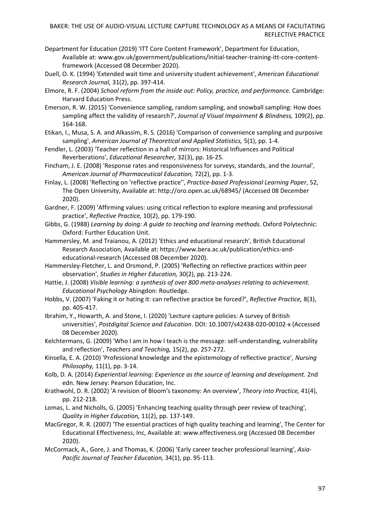- Department for Education (2019) 'ITT Core Content Framework', Department for Education, Available at: [www.gov.uk/government/publications/initial-teacher-training-itt-core-content](file:///D:/All%20Folders/Journals/TEAN%20&%20STeP/TEAN%20Journal/TEAN%20journal%20Issue%2013(1)%202021/Papers/Revised%20Papers/Revised%20Paper%2023LB/www.gov.uk/government/publications/initial-teacher-training-itt-core-content-framework)[framework](file:///D:/All%20Folders/Journals/TEAN%20&%20STeP/TEAN%20Journal/TEAN%20journal%20Issue%2013(1)%202021/Papers/Revised%20Papers/Revised%20Paper%2023LB/www.gov.uk/government/publications/initial-teacher-training-itt-core-content-framework) (Accessed 08 December 2020).
- Duell, O. K. (1994) 'Extended wait time and university student achievement', *American Educational Research Journal,* 31(2), pp. 397-414.
- Elmore, R. F. (2004) *School reform from the inside out: Policy, practice, and performance.* Cambridge: Harvard Education Press.
- Emerson, R. W. (2015) 'Convenience sampling, random sampling, and snowball sampling: How does sampling affect the validity of research?', *Journal of Visual Impairment & Blindness,* 109(2), pp. 164-168.
- Etikan, I., Musa, S. A. and Alkassim, R. S. (2016) 'Comparison of convenience sampling and purposive sampling', *American Journal of Theoretical and Applied Statistics,* 5(1), pp. 1-4.
- Fendler, L. (2003) 'Teacher reflection in a hall of mirrors: Historical Influences and Political Reverberations', *Educational Researcher,* 32(3), pp. 16-25.
- Fincham, J. E. (2008) 'Response rates and responsiveness for surveys, standards, and the Journal', *American Journal of Pharmaceutical Education,* 72(2), pp. 1-3.
- Finlay, L. (2008) 'Reflecting on 'reflective practice'', *Practice-based Professional Learning Paper*, 52, The Open University, Available at: <http://oro.open.ac.uk/68945/> (Accessed 08 December 2020).
- Gardner, F. (2009) 'Affirming values: using critical reflection to explore meaning and professional practice', *Reflective Practice,* 10(2), pp. 179-190.
- Gibbs, G. (1988) *Learning by doing: A guide to teaching and learning methods.* Oxford Polytechnic: Oxford: Further Education Unit.
- Hammersley, M. and Traianou, A. (2012) 'Ethics and educational research', British Educational Research Association, Available at: [https://www.bera.ac.uk/publication/ethics-and](https://www.bera.ac.uk/publication/ethics-and-educational-research)[educational-research](https://www.bera.ac.uk/publication/ethics-and-educational-research) (Accessed 08 December 2020).
- Hammersley‐Fletcher, L. and Orsmond, P. (2005) 'Reflecting on reflective practices within peer observation', *Studies in Higher Education,* 30(2), pp. 213-224.
- Hattie, J. (2008) *Visible learning: a synthesis of over 800 meta-analyses relating to achievement. Educational Psychology* Abingdon: Routledge.
- Hobbs, V. (2007) 'Faking it or hating it: can reflective practice be forced?', *Reflective Practice,* 8(3), pp. 405-417.
- Ibrahim, Y., Howarth, A. and Stone, I. (2020) 'Lecture capture policies: A survey of British universities', *Postdigital Science and Education*. DOI: 10.1007/s42438-020-00102-x (Accessed 08 December 2020).
- Kelchtermans, G. (2009) 'Who I am in how I teach is the message: self-understanding, vulnerability and reflection', *Teachers and Teaching,* 15(2), pp. 257-272.
- Kinsella, E. A. (2010) 'Professional knowledge and the epistemology of reflective practice', *Nursing Philosophy,* 11(1), pp. 3-14.
- Kolb, D. A. (2014) *Experiential learning: Experience as the source of learning and development.* 2nd edn. New Jersey: Pearson Education, Inc.
- Krathwohl, D. R. (2002) 'A revision of Bloom's taxonomy: An overview', *Theory into Practice,* 41(4), pp. 212-218.
- Lomas, L. and Nicholls, G. (2005) 'Enhancing teaching quality through peer review of teaching', *Quality in Higher Education,* 11(2), pp. 137-149.
- MacGregor, R. R. (2007) 'The essential practices of high quality teaching and learning', The Center for Educational Effectiveness, Inc, Available at: [www.effectiveness.org](file:///D:/All%20Folders/Journals/TEAN%20&%20STeP/TEAN%20Journal/TEAN%20journal%20Issue%2013(1)%202021/Papers/Revised%20Papers/Revised%20Paper%2023LB/www.effectiveness.org) (Accessed 08 December 2020).
- McCormack, A., Gore, J. and Thomas, K. (2006) 'Early career teacher professional learning', *Asia-Pacific Journal of Teacher Education,* 34(1), pp. 95-113.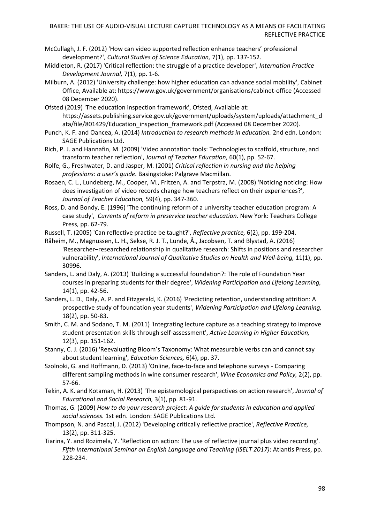- McCullagh, J. F. (2012) 'How can video supported reflection enhance teachers' professional development?', *Cultural Studies of Science Education,* 7(1), pp. 137-152.
- Middleton, R. (2017) 'Critical reflection: the struggle of a practice developer', *Internation Practice Development Journal,* 7(1), pp. 1-6.
- Milburn, A. (2012) 'University challenge: how higher education can advance social mobility', Cabinet Office, Available at:<https://www.gov.uk/government/organisations/cabinet-office> (Accessed 08 December 2020).
- Ofsted (2019) 'The education inspection framework', Ofsted, Available at: [https://assets.publishing.service.gov.uk/government/uploads/system/uploads/attachment\\_d](https://assets.publishing.service.gov.uk/government/uploads/system/uploads/attachment_data/file/801429/Education_inspection_framework.pdf) [ata/file/801429/Education\\_inspection\\_framework.pdf](https://assets.publishing.service.gov.uk/government/uploads/system/uploads/attachment_data/file/801429/Education_inspection_framework.pdf) (Accessed 08 December 2020).
- Punch, K. F. and Oancea, A. (2014) *Introduction to research methods in education.* 2nd edn. London: SAGE Publications Ltd.
- Rich, P. J. and Hannafin, M. (2009) 'Video annotation tools: Technologies to scaffold, structure, and transform teacher reflection', *Journal of Teacher Education,* 60(1), pp. 52-67.
- Rolfe, G., Freshwater, D. and Jasper, M. (2001) *Critical reflection in nursing and the helping professions: a user's guide.* Basingstoke: Palgrave Macmillan.
- Rosaen, C. L., Lundeberg, M., Cooper, M., Fritzen, A. and Terpstra, M. (2008) 'Noticing noticing: How does investigation of video records change how teachers reflect on their experiences?', *Journal of Teacher Education,* 59(4), pp. 347-360.
- Ross, D. and Bondy, E. (1996) 'The continuing reform of a university teacher education program: A case study', *Currents of reform in preservice teacher education*. New York: Teachers College Press, pp. 62-79.
- Russell, T. (2005) 'Can reflective practice be taught?', *Reflective practice,* 6(2), pp. 199-204.
- Råheim, M., Magnussen, L. H., Sekse, R. J. T., Lunde, Å., Jacobsen, T. and Blystad, A. (2016) 'Researcher–researched relationship in qualitative research: Shifts in positions and researcher vulnerability', *International Journal of Qualitative Studies on Health and Well-being,* 11(1), pp. 30996.
- Sanders, L. and Daly, A. (2013) 'Building a successful foundation?: The role of Foundation Year courses in preparing students for their degree', *Widening Participation and Lifelong Learning,* 14(1), pp. 42-56.
- Sanders, L. D., Daly, A. P. and Fitzgerald, K. (2016) 'Predicting retention, understanding attrition: A prospective study of foundation year students', *Widening Participation and Lifelong Learning,* 18(2), pp. 50-83.
- Smith, C. M. and Sodano, T. M. (2011) 'Integrating lecture capture as a teaching strategy to improve student presentation skills through self-assessment', *Active Learning in Higher Education,* 12(3), pp. 151-162.
- Stanny, C. J. (2016) 'Reevaluating Bloom's Taxonomy: What measurable verbs can and cannot say about student learning', *Education Sciences,* 6(4), pp. 37.
- Szolnoki, G. and Hoffmann, D. (2013) 'Online, face-to-face and telephone surveys Comparing different sampling methods in wine consumer research', *Wine Economics and Policy,* 2(2), pp. 57-66.
- Tekin, A. K. and Kotaman, H. (2013) 'The epistemological perspectives on action research', *Journal of Educational and Social Research,* 3(1), pp. 81-91.
- Thomas, G. (2009) *How to do your research project: A guide for students in education and applied social sciences.* 1st edn. London: SAGE Publications Ltd.
- Thompson, N. and Pascal, J. (2012) 'Developing critically reflective practice', *Reflective Practice,* 13(2), pp. 311-325.
- Tiarina, Y. and Rozimela, Y. 'Reflection on action: The use of reflective journal plus video recording'. *Fifth International Seminar on English Language and Teaching (ISELT 2017)*: Atlantis Press, pp. 228-234.